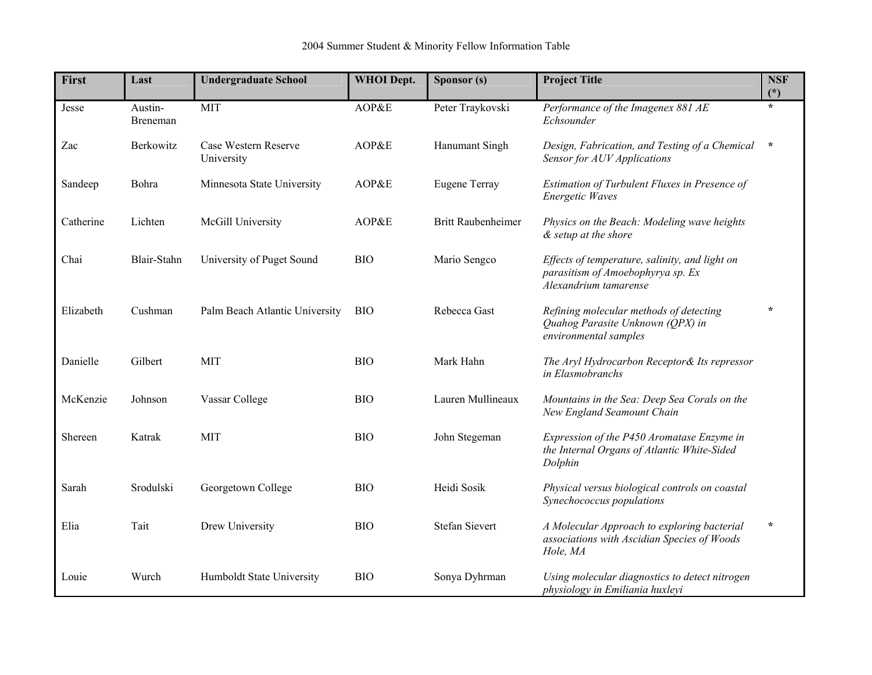| <b>First</b> | Last                | <b>Undergraduate School</b>        | <b>WHOI</b> Dept. | Sponsor (s)               | <b>Project Title</b>                                                                                         | <b>NSF</b><br>$(*)$ |
|--------------|---------------------|------------------------------------|-------------------|---------------------------|--------------------------------------------------------------------------------------------------------------|---------------------|
| Jesse        | Austin-<br>Breneman | <b>MIT</b>                         | AOP&E             | Peter Traykovski          | Performance of the Imagenex 881 AE<br>Echsounder                                                             | $\star$             |
| Zac          | Berkowitz           | Case Western Reserve<br>University | AOP&E             | Hanumant Singh            | Design, Fabrication, and Testing of a Chemical<br>Sensor for AUV Applications                                | $\star$             |
| Sandeep      | Bohra               | Minnesota State University         | AOP&E             | <b>Eugene Terray</b>      | Estimation of Turbulent Fluxes in Presence of<br><b>Energetic Waves</b>                                      |                     |
| Catherine    | Lichten             | McGill University                  | AOP&E             | <b>Britt Raubenheimer</b> | Physics on the Beach: Modeling wave heights<br>& setup at the shore                                          |                     |
| Chai         | Blair-Stahn         | University of Puget Sound          | <b>BIO</b>        | Mario Sengco              | Effects of temperature, salinity, and light on<br>parasitism of Amoebophyrya sp. Ex<br>Alexandrium tamarense |                     |
| Elizabeth    | Cushman             | Palm Beach Atlantic University     | <b>BIO</b>        | Rebecca Gast              | Refining molecular methods of detecting<br>Quahog Parasite Unknown (QPX) in<br>environmental samples         | $\star$             |
| Danielle     | Gilbert             | <b>MIT</b>                         | <b>BIO</b>        | Mark Hahn                 | The Aryl Hydrocarbon Receptor& Its repressor<br>in Elasmobranchs                                             |                     |
| McKenzie     | Johnson             | Vassar College                     | <b>BIO</b>        | Lauren Mullineaux         | Mountains in the Sea: Deep Sea Corals on the<br>New England Seamount Chain                                   |                     |
| Shereen      | Katrak              | <b>MIT</b>                         | <b>BIO</b>        | John Stegeman             | Expression of the P450 Aromatase Enzyme in<br>the Internal Organs of Atlantic White-Sided<br>Dolphin         |                     |
| Sarah        | Srodulski           | Georgetown College                 | <b>BIO</b>        | Heidi Sosik               | Physical versus biological controls on coastal<br>Synechococcus populations                                  |                     |
| Elia         | Tait                | Drew University                    | <b>BIO</b>        | <b>Stefan Sievert</b>     | A Molecular Approach to exploring bacterial<br>associations with Ascidian Species of Woods<br>Hole, MA       | $\star$             |
| Louie        | Wurch               | Humboldt State University          | <b>BIO</b>        | Sonya Dyhrman             | Using molecular diagnostics to detect nitrogen<br>physiology in Emiliania huxleyi                            |                     |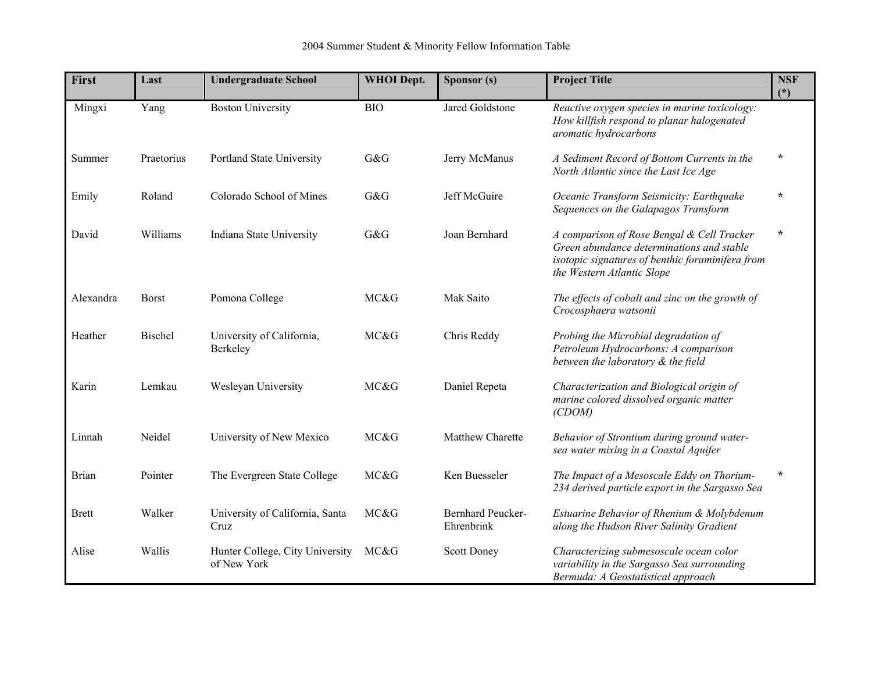| First        | Last         | <b>Undergraduate School</b>                    | <b>WHOI</b> Dept. | Sponsor (s)                            | <b>Project Title</b>                                                                                                                                                      | <b>NSF</b><br>$(\dot{a})$ |
|--------------|--------------|------------------------------------------------|-------------------|----------------------------------------|---------------------------------------------------------------------------------------------------------------------------------------------------------------------------|---------------------------|
| Mingxi       | Yang         | <b>Boston University</b>                       | <b>BIO</b>        | Jared Goldstone                        | Reactive oxygen species in marine toxicology:<br>How killfish respond to planar halogenated<br>aromatic hydrocarbons                                                      |                           |
| Summer       | Praetorius   | Portland State University                      | G&G               | Jerry McManus                          | A Sediment Record of Bottom Currents in the<br>North Atlantic since the Last Ice Age                                                                                      | $\star$                   |
| Emily        | Roland       | Colorado School of Mines                       | G&G               | Jeff McGuire                           | Oceanic Transform Seismicity: Earthquake<br>Sequences on the Galapagos Transform                                                                                          | $\star$                   |
| David        | Williams     | Indiana State University                       | G&G               | Joan Bernhard                          | A comparison of Rose Bengal & Cell Tracker<br>Green abundance determinations and stable<br>isotopic signatures of benthic foraminifera from<br>the Western Atlantic Slope | $\star$                   |
| Alexandra    | <b>Borst</b> | Pomona College                                 | MC&G              | Mak Saito                              | The effects of cobalt and zinc on the growth of<br>Crocosphaera watsonii                                                                                                  |                           |
| Heather      | Bischel      | University of California,<br>Berkeley          | MC&G              | Chris Reddy                            | Probing the Microbial degradation of<br>Petroleum Hydrocarbons: A comparison<br>between the laboratory & the field                                                        |                           |
| Karin        | Lemkau       | Wesleyan University                            | MC&G              | Daniel Repeta                          | Characterization and Biological origin of<br>marine colored dissolved organic matter<br>(CDOM)                                                                            |                           |
| Linnah       | Neidel       | University of New Mexico                       | MC&G              | Matthew Charette                       | Behavior of Strontium during ground water-<br>sea water mixing in a Coastal Aquifer                                                                                       |                           |
| <b>Brian</b> | Pointer      | The Evergreen State College                    | MC&G              | Ken Buesseler                          | The Impact of a Mesoscale Eddy on Thorium-<br>234 derived particle export in the Sargasso Sea                                                                             | $\star$                   |
| <b>Brett</b> | Walker       | University of California, Santa<br>Cruz        | MC&G              | <b>Bernhard Peucker-</b><br>Ehrenbrink | Estuarine Behavior of Rhenium & Molybdenum<br>along the Hudson River Salinity Gradient                                                                                    |                           |
| Alise        | Wallis       | Hunter College, City University<br>of New York | MC&G              | <b>Scott Doney</b>                     | Characterizing submesoscale ocean color<br>variability in the Sargasso Sea surrounding<br>Bermuda: A Geostatistical approach                                              |                           |